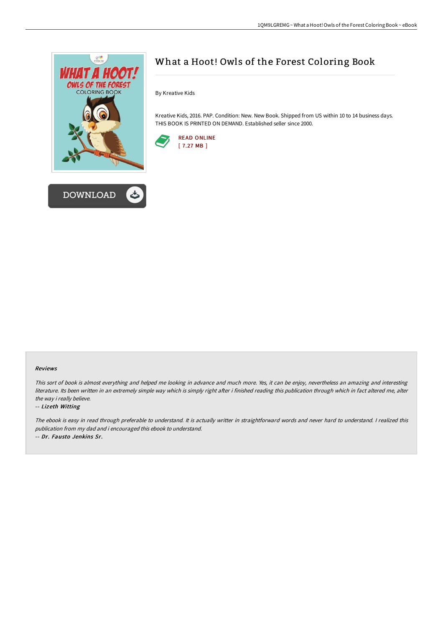

## What a Hoot! Owls of the Forest Coloring Book

By Kreative Kids

Kreative Kids, 2016. PAP. Condition: New. New Book. Shipped from US within 10 to 14 business days. THIS BOOK IS PRINTED ON DEMAND. Established seller since 2000.



## Reviews

This sort of book is almost everything and helped me looking in advance and much more. Yes, it can be enjoy, nevertheless an amazing and interesting literature. Its been written in an extremely simple way which is simply right after i finished reading this publication through which in fact altered me, alter the way i really believe.

## -- Lizeth Witting

The ebook is easy in read through preferable to understand. It is actually writter in straightforward words and never hard to understand. <sup>I</sup> realized this publication from my dad and i encouraged this ebook to understand. -- Dr. Fausto Jenkins Sr.